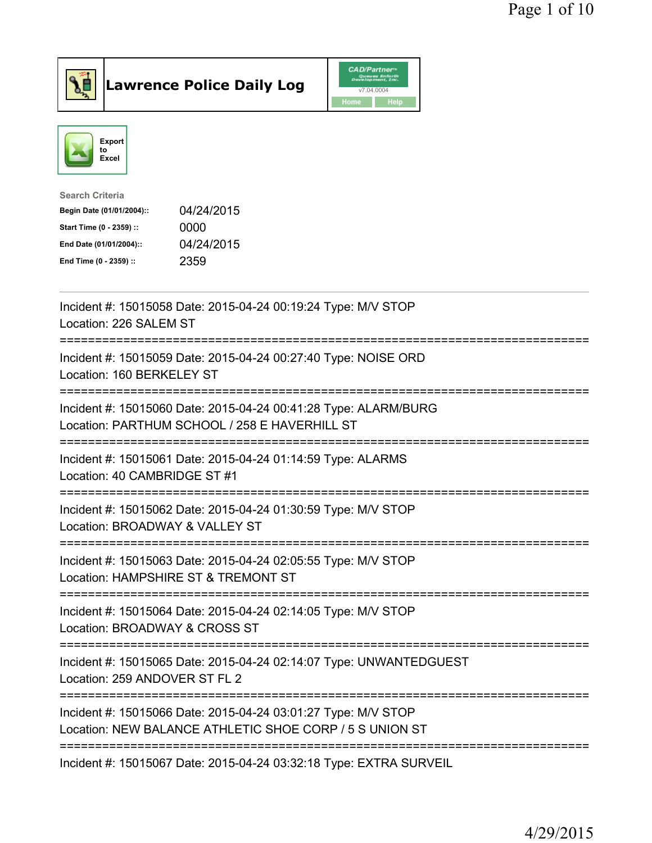



| <b>Search Criteria</b>    |            |
|---------------------------|------------|
| Begin Date (01/01/2004):: | 04/24/2015 |
| Start Time (0 - 2359) ::  | 0000       |
| End Date (01/01/2004)::   | 04/24/2015 |
| End Time (0 - 2359) ::    | 2359       |
|                           |            |

| Incident #: 15015058 Date: 2015-04-24 00:19:24 Type: M/V STOP<br>Location: 226 SALEM ST                                                                           |
|-------------------------------------------------------------------------------------------------------------------------------------------------------------------|
| Incident #: 15015059 Date: 2015-04-24 00:27:40 Type: NOISE ORD<br>Location: 160 BERKELEY ST                                                                       |
| Incident #: 15015060 Date: 2015-04-24 00:41:28 Type: ALARM/BURG<br>Location: PARTHUM SCHOOL / 258 E HAVERHILL ST<br>-----------------------                       |
| Incident #: 15015061 Date: 2015-04-24 01:14:59 Type: ALARMS<br>Location: 40 CAMBRIDGE ST #1<br>=====================                                              |
| Incident #: 15015062 Date: 2015-04-24 01:30:59 Type: M/V STOP<br>Location: BROADWAY & VALLEY ST<br>------------------------                                       |
| Incident #: 15015063 Date: 2015-04-24 02:05:55 Type: M/V STOP<br>Location: HAMPSHIRE ST & TREMONT ST                                                              |
| ========================<br>Incident #: 15015064 Date: 2015-04-24 02:14:05 Type: M/V STOP<br>Location: BROADWAY & CROSS ST                                        |
| ========================<br>Incident #: 15015065 Date: 2015-04-24 02:14:07 Type: UNWANTEDGUEST<br>Location: 259 ANDOVER ST FL 2                                   |
| -------------------------------------<br>Incident #: 15015066 Date: 2015-04-24 03:01:27 Type: M/V STOP<br>Location: NEW BALANCE ATHLETIC SHOE CORP / 5 S UNION ST |
| Incident #: 15015067 Date: 2015-04-24 03:32:18 Type: EXTRA SURVEIL                                                                                                |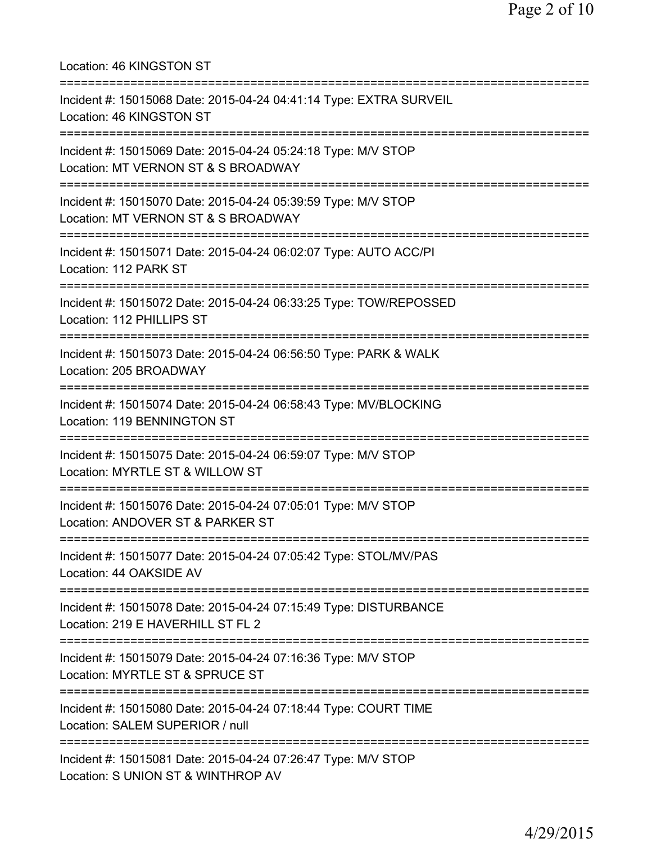| Location: 46 KINGSTON ST                                                                                                                     |
|----------------------------------------------------------------------------------------------------------------------------------------------|
| Incident #: 15015068 Date: 2015-04-24 04:41:14 Type: EXTRA SURVEIL<br>Location: 46 KINGSTON ST                                               |
| Incident #: 15015069 Date: 2015-04-24 05:24:18 Type: M/V STOP<br>Location: MT VERNON ST & S BROADWAY                                         |
| Incident #: 15015070 Date: 2015-04-24 05:39:59 Type: M/V STOP<br>Location: MT VERNON ST & S BROADWAY<br>===================================  |
| Incident #: 15015071 Date: 2015-04-24 06:02:07 Type: AUTO ACC/PI<br>Location: 112 PARK ST                                                    |
| Incident #: 15015072 Date: 2015-04-24 06:33:25 Type: TOW/REPOSSED<br>Location: 112 PHILLIPS ST                                               |
| Incident #: 15015073 Date: 2015-04-24 06:56:50 Type: PARK & WALK<br>Location: 205 BROADWAY                                                   |
| Incident #: 15015074 Date: 2015-04-24 06:58:43 Type: MV/BLOCKING<br>Location: 119 BENNINGTON ST                                              |
| Incident #: 15015075 Date: 2015-04-24 06:59:07 Type: M/V STOP<br>Location: MYRTLE ST & WILLOW ST<br>-----------------------                  |
| Incident #: 15015076 Date: 2015-04-24 07:05:01 Type: M/V STOP<br>Location: ANDOVER ST & PARKER ST                                            |
| Incident #: 15015077 Date: 2015-04-24 07:05:42 Type: STOL/MV/PAS<br>Location: 44 OAKSIDE AV                                                  |
| Incident #: 15015078 Date: 2015-04-24 07:15:49 Type: DISTURBANCE<br>Location: 219 E HAVERHILL ST FL 2                                        |
| Incident #: 15015079 Date: 2015-04-24 07:16:36 Type: M/V STOP<br>Location: MYRTLE ST & SPRUCE ST                                             |
| Incident #: 15015080 Date: 2015-04-24 07:18:44 Type: COURT TIME<br>Location: SALEM SUPERIOR / null                                           |
| =====================================<br>Incident #: 15015081 Date: 2015-04-24 07:26:47 Type: M/V STOP<br>Location: S UNION ST & WINTHROP AV |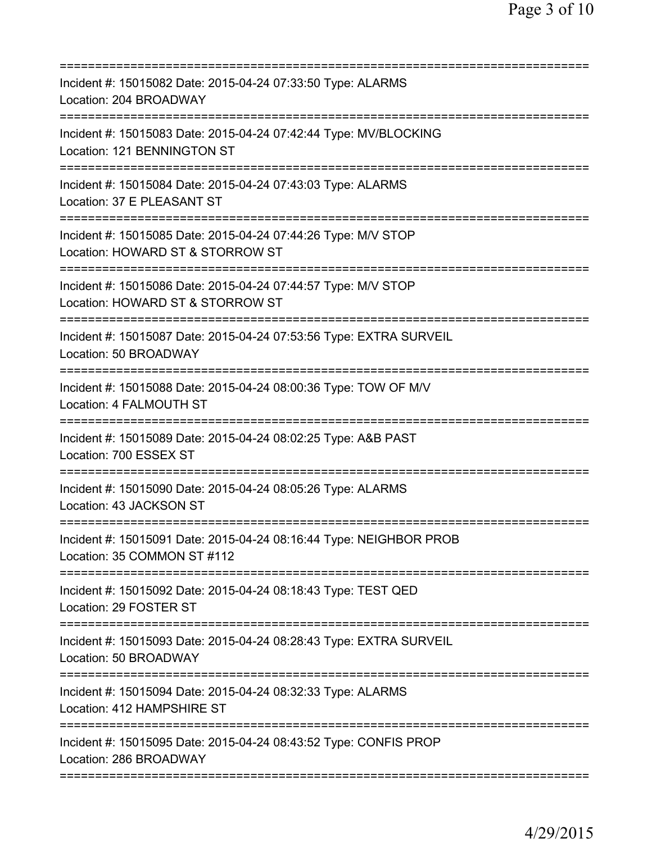| Incident #: 15015082 Date: 2015-04-24 07:33:50 Type: ALARMS<br>Location: 204 BROADWAY                                 |
|-----------------------------------------------------------------------------------------------------------------------|
| Incident #: 15015083 Date: 2015-04-24 07:42:44 Type: MV/BLOCKING<br>Location: 121 BENNINGTON ST                       |
| Incident #: 15015084 Date: 2015-04-24 07:43:03 Type: ALARMS<br>Location: 37 E PLEASANT ST                             |
| Incident #: 15015085 Date: 2015-04-24 07:44:26 Type: M/V STOP<br>Location: HOWARD ST & STORROW ST                     |
| Incident #: 15015086 Date: 2015-04-24 07:44:57 Type: M/V STOP<br>Location: HOWARD ST & STORROW ST                     |
| Incident #: 15015087 Date: 2015-04-24 07:53:56 Type: EXTRA SURVEIL<br>Location: 50 BROADWAY                           |
| Incident #: 15015088 Date: 2015-04-24 08:00:36 Type: TOW OF M/V<br>Location: 4 FALMOUTH ST                            |
| Incident #: 15015089 Date: 2015-04-24 08:02:25 Type: A&B PAST<br>Location: 700 ESSEX ST                               |
| Incident #: 15015090 Date: 2015-04-24 08:05:26 Type: ALARMS<br>Location: 43 JACKSON ST                                |
| Incident #: 15015091 Date: 2015-04-24 08:16:44 Type: NEIGHBOR PROB<br>Location: 35 COMMON ST #112                     |
| ==========================<br>Incident #: 15015092 Date: 2015-04-24 08:18:43 Type: TEST QED<br>Location: 29 FOSTER ST |
| Incident #: 15015093 Date: 2015-04-24 08:28:43 Type: EXTRA SURVEIL<br>Location: 50 BROADWAY                           |
| Incident #: 15015094 Date: 2015-04-24 08:32:33 Type: ALARMS<br>Location: 412 HAMPSHIRE ST                             |
| Incident #: 15015095 Date: 2015-04-24 08:43:52 Type: CONFIS PROP<br>Location: 286 BROADWAY                            |
|                                                                                                                       |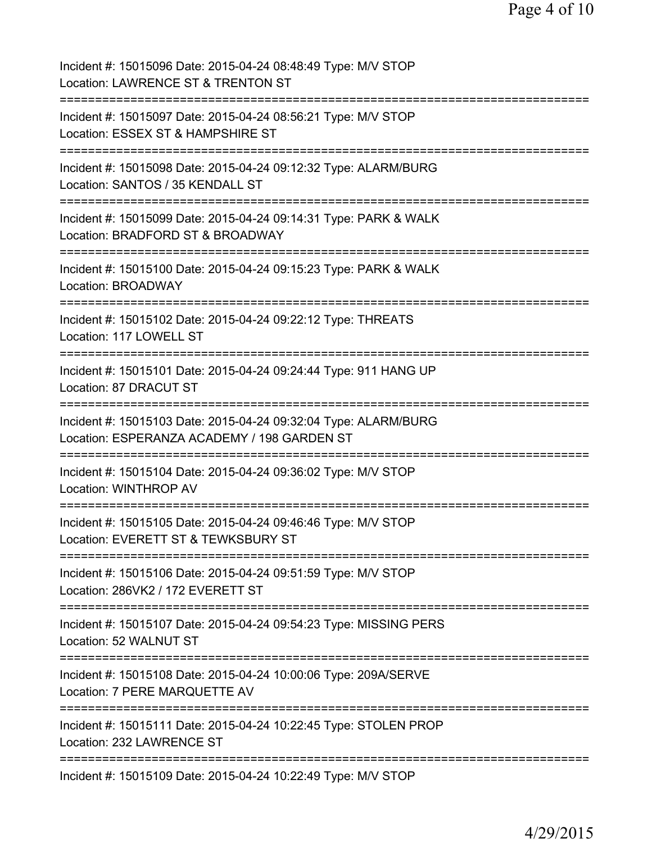| Incident #: 15015096 Date: 2015-04-24 08:48:49 Type: M/V STOP<br>Location: LAWRENCE ST & TRENTON ST            |
|----------------------------------------------------------------------------------------------------------------|
| Incident #: 15015097 Date: 2015-04-24 08:56:21 Type: M/V STOP<br>Location: ESSEX ST & HAMPSHIRE ST             |
| Incident #: 15015098 Date: 2015-04-24 09:12:32 Type: ALARM/BURG<br>Location: SANTOS / 35 KENDALL ST            |
| Incident #: 15015099 Date: 2015-04-24 09:14:31 Type: PARK & WALK<br>Location: BRADFORD ST & BROADWAY           |
| Incident #: 15015100 Date: 2015-04-24 09:15:23 Type: PARK & WALK<br><b>Location: BROADWAY</b>                  |
| Incident #: 15015102 Date: 2015-04-24 09:22:12 Type: THREATS<br>Location: 117 LOWELL ST                        |
| Incident #: 15015101 Date: 2015-04-24 09:24:44 Type: 911 HANG UP<br>Location: 87 DRACUT ST                     |
| Incident #: 15015103 Date: 2015-04-24 09:32:04 Type: ALARM/BURG<br>Location: ESPERANZA ACADEMY / 198 GARDEN ST |
| Incident #: 15015104 Date: 2015-04-24 09:36:02 Type: M/V STOP<br><b>Location: WINTHROP AV</b>                  |
| Incident #: 15015105 Date: 2015-04-24 09:46:46 Type: M/V STOP<br>Location: EVERETT ST & TEWKSBURY ST           |
| Incident #: 15015106 Date: 2015-04-24 09:51:59 Type: M/V STOP<br>Location: 286VK2 / 172 EVERETT ST             |
| Incident #: 15015107 Date: 2015-04-24 09:54:23 Type: MISSING PERS<br>Location: 52 WALNUT ST                    |
| Incident #: 15015108 Date: 2015-04-24 10:00:06 Type: 209A/SERVE<br>Location: 7 PERE MARQUETTE AV               |
| Incident #: 15015111 Date: 2015-04-24 10:22:45 Type: STOLEN PROP<br>Location: 232 LAWRENCE ST                  |
| Incident #: 15015109 Date: 2015-04-24 10:22:49 Type: M/V STOP                                                  |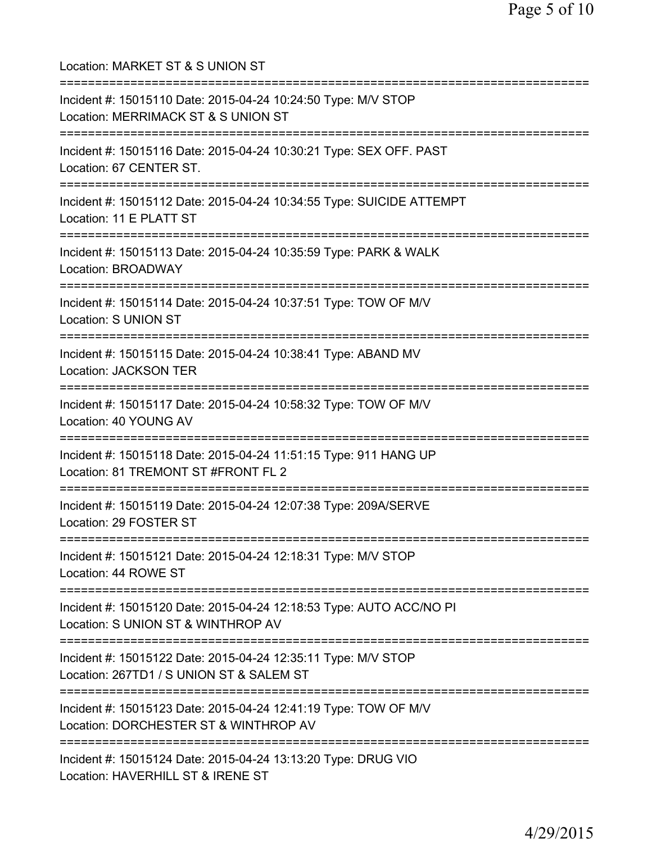Location: MARKET ST & S UNION ST =========================================================================== Incident #: 15015110 Date: 2015-04-24 10:24:50 Type: M/V STOP Location: MERRIMACK ST & S UNION ST =========================================================================== Incident #: 15015116 Date: 2015-04-24 10:30:21 Type: SEX OFF. PAST Location: 67 CENTER ST. =========================================================================== Incident #: 15015112 Date: 2015-04-24 10:34:55 Type: SUICIDE ATTEMPT Location: 11 E PLATT ST =========================================================================== Incident #: 15015113 Date: 2015-04-24 10:35:59 Type: PARK & WALK Location: BROADWAY =========================================================================== Incident #: 15015114 Date: 2015-04-24 10:37:51 Type: TOW OF M/V Location: S UNION ST =========================================================================== Incident #: 15015115 Date: 2015-04-24 10:38:41 Type: ABAND MV Location: JACKSON TER =========================================================================== Incident #: 15015117 Date: 2015-04-24 10:58:32 Type: TOW OF M/V Location: 40 YOUNG AV =========================================================================== Incident #: 15015118 Date: 2015-04-24 11:51:15 Type: 911 HANG UP Location: 81 TREMONT ST #FRONT FL 2 =========================================================================== Incident #: 15015119 Date: 2015-04-24 12:07:38 Type: 209A/SERVE Location: 29 FOSTER ST =========================================================================== Incident #: 15015121 Date: 2015-04-24 12:18:31 Type: M/V STOP Location: 44 ROWE ST =========================================================================== Incident #: 15015120 Date: 2015-04-24 12:18:53 Type: AUTO ACC/NO PI Location: S UNION ST & WINTHROP AV =========================================================================== Incident #: 15015122 Date: 2015-04-24 12:35:11 Type: M/V STOP Location: 267TD1 / S UNION ST & SALEM ST =========================================================================== Incident #: 15015123 Date: 2015-04-24 12:41:19 Type: TOW OF M/V Location: DORCHESTER ST & WINTHROP AV =========================================================================== Incident #: 15015124 Date: 2015-04-24 13:13:20 Type: DRUG VIO Location: HAVERHILL ST & IRENE ST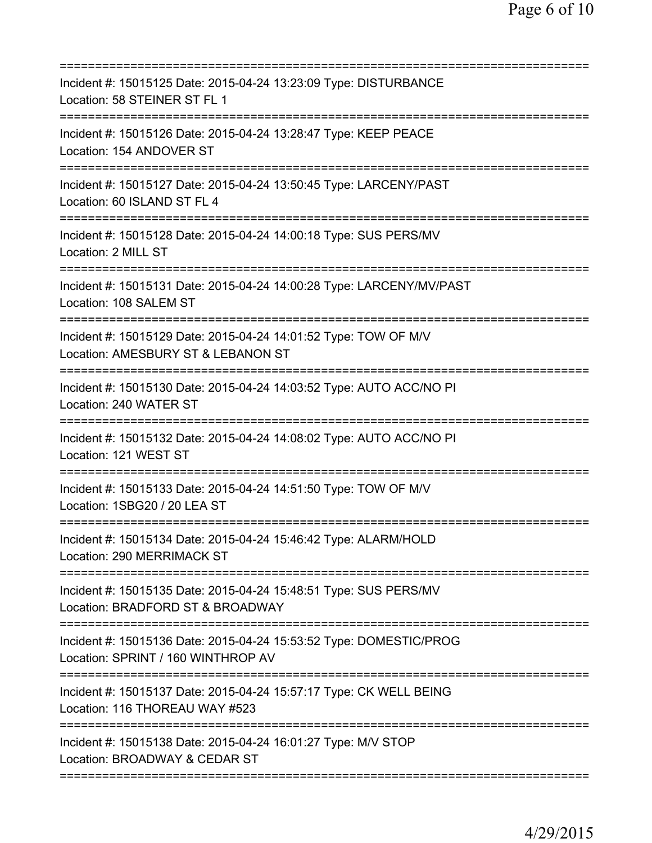| Incident #: 15015125 Date: 2015-04-24 13:23:09 Type: DISTURBANCE<br>Location: 58 STEINER ST FL 1                                       |
|----------------------------------------------------------------------------------------------------------------------------------------|
| Incident #: 15015126 Date: 2015-04-24 13:28:47 Type: KEEP PEACE<br>Location: 154 ANDOVER ST                                            |
| Incident #: 15015127 Date: 2015-04-24 13:50:45 Type: LARCENY/PAST<br>Location: 60 ISLAND ST FL 4                                       |
| Incident #: 15015128 Date: 2015-04-24 14:00:18 Type: SUS PERS/MV<br>Location: 2 MILL ST                                                |
| Incident #: 15015131 Date: 2015-04-24 14:00:28 Type: LARCENY/MV/PAST<br>Location: 108 SALEM ST                                         |
| Incident #: 15015129 Date: 2015-04-24 14:01:52 Type: TOW OF M/V<br>Location: AMESBURY ST & LEBANON ST                                  |
| Incident #: 15015130 Date: 2015-04-24 14:03:52 Type: AUTO ACC/NO PI<br>Location: 240 WATER ST<br>===================================== |
| Incident #: 15015132 Date: 2015-04-24 14:08:02 Type: AUTO ACC/NO PI<br>Location: 121 WEST ST                                           |
| Incident #: 15015133 Date: 2015-04-24 14:51:50 Type: TOW OF M/V<br>Location: 1SBG20 / 20 LEA ST                                        |
| Incident #: 15015134 Date: 2015-04-24 15:46:42 Type: ALARM/HOLD<br>Location: 290 MERRIMACK ST                                          |
| Incident #: 15015135 Date: 2015-04-24 15:48:51 Type: SUS PERS/MV<br>Location: BRADFORD ST & BROADWAY                                   |
| Incident #: 15015136 Date: 2015-04-24 15:53:52 Type: DOMESTIC/PROG<br>Location: SPRINT / 160 WINTHROP AV                               |
| Incident #: 15015137 Date: 2015-04-24 15:57:17 Type: CK WELL BEING<br>Location: 116 THOREAU WAY #523                                   |
| Incident #: 15015138 Date: 2015-04-24 16:01:27 Type: M/V STOP<br>Location: BROADWAY & CEDAR ST                                         |
|                                                                                                                                        |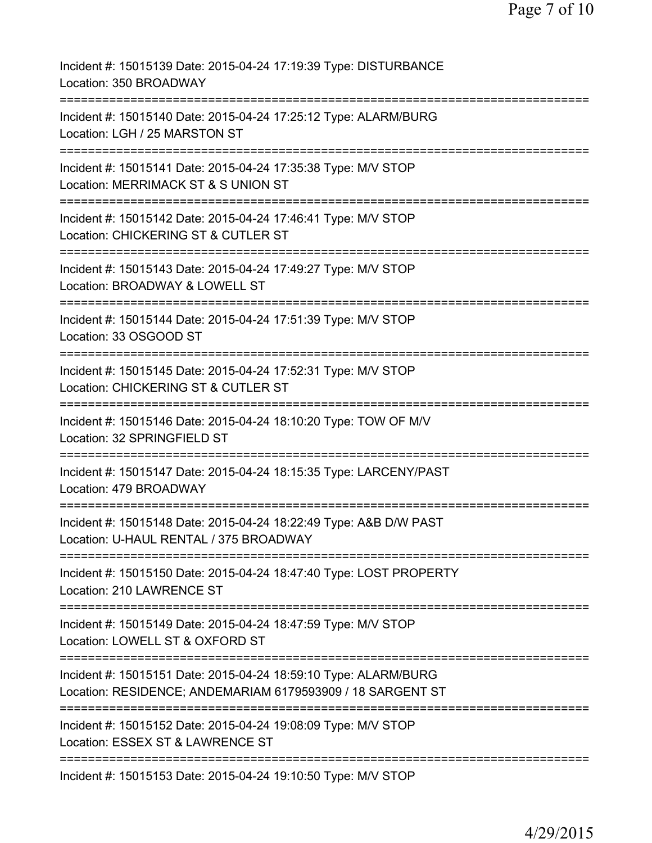| Incident #: 15015139 Date: 2015-04-24 17:19:39 Type: DISTURBANCE<br>Location: 350 BROADWAY<br>----------------------------                             |
|--------------------------------------------------------------------------------------------------------------------------------------------------------|
| Incident #: 15015140 Date: 2015-04-24 17:25:12 Type: ALARM/BURG<br>Location: LGH / 25 MARSTON ST                                                       |
| Incident #: 15015141 Date: 2015-04-24 17:35:38 Type: M/V STOP<br>Location: MERRIMACK ST & S UNION ST                                                   |
| Incident #: 15015142 Date: 2015-04-24 17:46:41 Type: M/V STOP<br>Location: CHICKERING ST & CUTLER ST<br>==============================<br>:=========== |
| Incident #: 15015143 Date: 2015-04-24 17:49:27 Type: M/V STOP<br>Location: BROADWAY & LOWELL ST                                                        |
| Incident #: 15015144 Date: 2015-04-24 17:51:39 Type: M/V STOP<br>Location: 33 OSGOOD ST<br>===================                                         |
| Incident #: 15015145 Date: 2015-04-24 17:52:31 Type: M/V STOP<br>Location: CHICKERING ST & CUTLER ST                                                   |
| Incident #: 15015146 Date: 2015-04-24 18:10:20 Type: TOW OF M/V<br>Location: 32 SPRINGFIELD ST<br>==================                                   |
| Incident #: 15015147 Date: 2015-04-24 18:15:35 Type: LARCENY/PAST<br>Location: 479 BROADWAY<br>=====================                                   |
| Incident #: 15015148 Date: 2015-04-24 18:22:49 Type: A&B D/W PAST<br>Location: U-HAUL RENTAL / 375 BROADWAY                                            |
| Incident #: 15015150 Date: 2015-04-24 18:47:40 Type: LOST PROPERTY<br>Location: 210 LAWRENCE ST                                                        |
| Incident #: 15015149 Date: 2015-04-24 18:47:59 Type: M/V STOP<br>Location: LOWELL ST & OXFORD ST                                                       |
| Incident #: 15015151 Date: 2015-04-24 18:59:10 Type: ALARM/BURG<br>Location: RESIDENCE; ANDEMARIAM 6179593909 / 18 SARGENT ST                          |
| Incident #: 15015152 Date: 2015-04-24 19:08:09 Type: M/V STOP<br>Location: ESSEX ST & LAWRENCE ST                                                      |
| Incident #: 15015153 Date: 2015-04-24 19:10:50 Type: M/V STOP                                                                                          |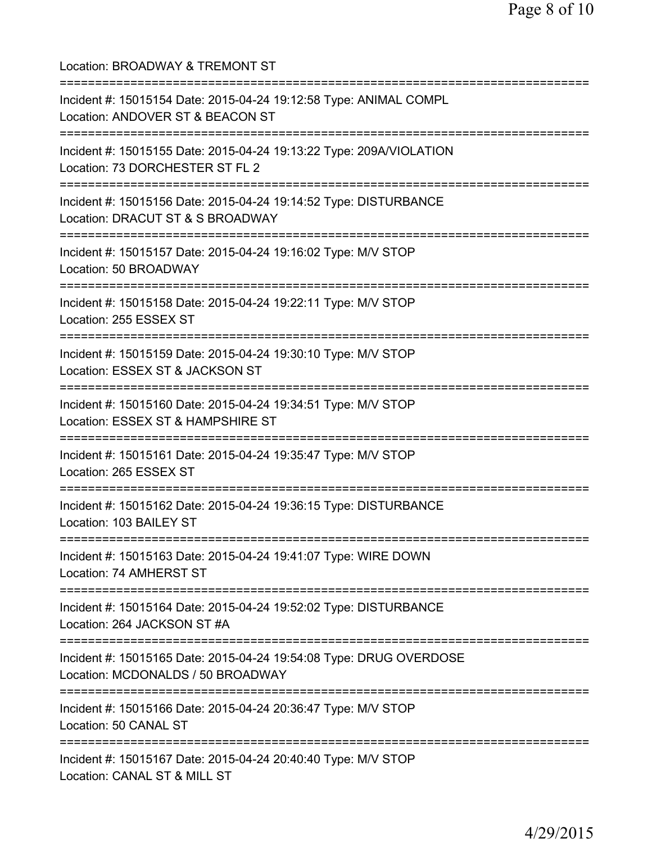| Location: BROADWAY & TREMONT ST<br>=============================                                                                                 |
|--------------------------------------------------------------------------------------------------------------------------------------------------|
| Incident #: 15015154 Date: 2015-04-24 19:12:58 Type: ANIMAL COMPL<br>Location: ANDOVER ST & BEACON ST<br>==========================              |
| Incident #: 15015155 Date: 2015-04-24 19:13:22 Type: 209A/VIOLATION<br>Location: 73 DORCHESTER ST FL 2                                           |
| Incident #: 15015156 Date: 2015-04-24 19:14:52 Type: DISTURBANCE<br>Location: DRACUT ST & S BROADWAY<br>===============================          |
| Incident #: 15015157 Date: 2015-04-24 19:16:02 Type: M/V STOP<br>Location: 50 BROADWAY                                                           |
| Incident #: 15015158 Date: 2015-04-24 19:22:11 Type: M/V STOP<br>Location: 255 ESSEX ST                                                          |
| Incident #: 15015159 Date: 2015-04-24 19:30:10 Type: M/V STOP<br>Location: ESSEX ST & JACKSON ST                                                 |
| Incident #: 15015160 Date: 2015-04-24 19:34:51 Type: M/V STOP<br>Location: ESSEX ST & HAMPSHIRE ST<br>==========================                 |
| Incident #: 15015161 Date: 2015-04-24 19:35:47 Type: M/V STOP<br>Location: 265 ESSEX ST                                                          |
| Incident #: 15015162 Date: 2015-04-24 19:36:15 Type: DISTURBANCE<br>Location: 103 BAILEY ST                                                      |
| Incident #: 15015163 Date: 2015-04-24 19:41:07 Type: WIRE DOWN<br>Location: 74 AMHERST ST                                                        |
| Incident #: 15015164 Date: 2015-04-24 19:52:02 Type: DISTURBANCE<br>Location: 264 JACKSON ST #A                                                  |
| =====================================<br>Incident #: 15015165 Date: 2015-04-24 19:54:08 Type: DRUG OVERDOSE<br>Location: MCDONALDS / 50 BROADWAY |
| Incident #: 15015166 Date: 2015-04-24 20:36:47 Type: M/V STOP<br>Location: 50 CANAL ST                                                           |
| Incident #: 15015167 Date: 2015-04-24 20:40:40 Type: M/V STOP<br>Location: CANAL ST & MILL ST                                                    |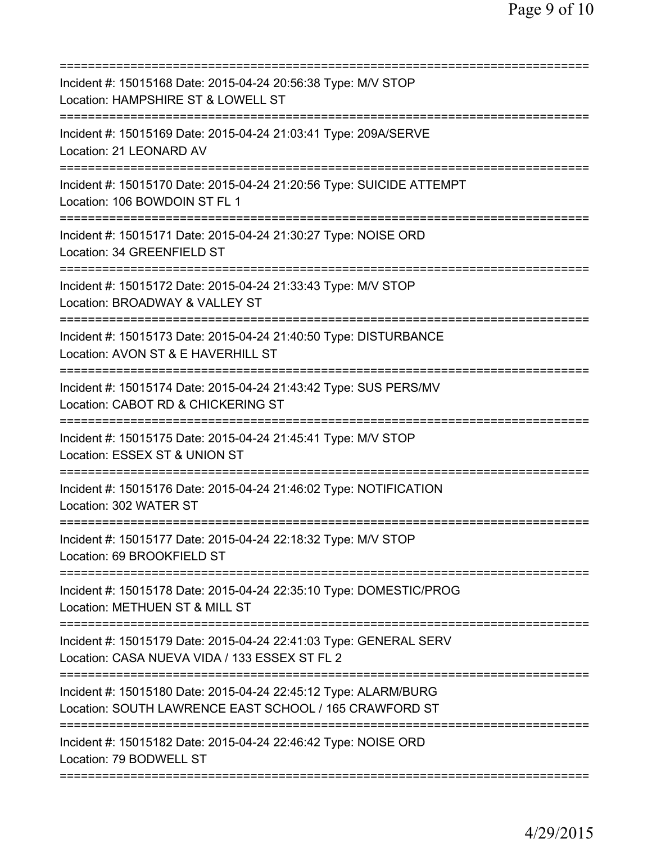| Incident #: 15015168 Date: 2015-04-24 20:56:38 Type: M/V STOP<br>Location: HAMPSHIRE ST & LOWELL ST                                    |
|----------------------------------------------------------------------------------------------------------------------------------------|
| Incident #: 15015169 Date: 2015-04-24 21:03:41 Type: 209A/SERVE<br>Location: 21 LEONARD AV                                             |
| Incident #: 15015170 Date: 2015-04-24 21:20:56 Type: SUICIDE ATTEMPT<br>Location: 106 BOWDOIN ST FL 1                                  |
| Incident #: 15015171 Date: 2015-04-24 21:30:27 Type: NOISE ORD<br>Location: 34 GREENFIELD ST                                           |
| Incident #: 15015172 Date: 2015-04-24 21:33:43 Type: M/V STOP<br>Location: BROADWAY & VALLEY ST                                        |
| Incident #: 15015173 Date: 2015-04-24 21:40:50 Type: DISTURBANCE<br>Location: AVON ST & E HAVERHILL ST<br>==========================   |
| Incident #: 15015174 Date: 2015-04-24 21:43:42 Type: SUS PERS/MV<br>Location: CABOT RD & CHICKERING ST<br>;=========================== |
| Incident #: 15015175 Date: 2015-04-24 21:45:41 Type: M/V STOP<br>Location: ESSEX ST & UNION ST                                         |
| Incident #: 15015176 Date: 2015-04-24 21:46:02 Type: NOTIFICATION<br>Location: 302 WATER ST                                            |
| Incident #: 15015177 Date: 2015-04-24 22:18:32 Type: M/V STOP<br>Location: 69 BROOKFIELD ST                                            |
| Incident #: 15015178 Date: 2015-04-24 22:35:10 Type: DOMESTIC/PROG<br>Location: METHUEN ST & MILL ST<br>==========================     |
| Incident #: 15015179 Date: 2015-04-24 22:41:03 Type: GENERAL SERV<br>Location: CASA NUEVA VIDA / 133 ESSEX ST FL 2                     |
| Incident #: 15015180 Date: 2015-04-24 22:45:12 Type: ALARM/BURG<br>Location: SOUTH LAWRENCE EAST SCHOOL / 165 CRAWFORD ST              |
| Incident #: 15015182 Date: 2015-04-24 22:46:42 Type: NOISE ORD<br>Location: 79 BODWELL ST                                              |
|                                                                                                                                        |